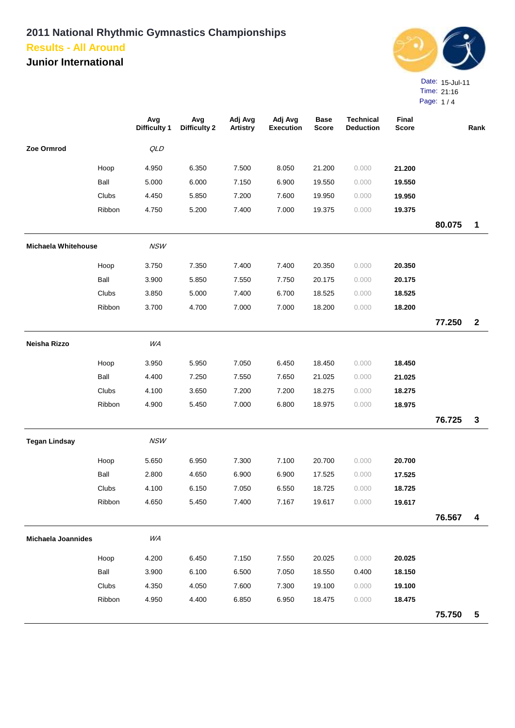**Junior International**



Page: 1 / 4

|                           |        | Avg<br><b>Difficulty 1</b> | Avg<br><b>Difficulty 2</b> | Adj Avg<br><b>Artistry</b> | Adj Avg<br><b>Execution</b> | <b>Base</b><br><b>Score</b> | <b>Technical</b><br><b>Deduction</b> | Final<br><b>Score</b> |        | Rank         |
|---------------------------|--------|----------------------------|----------------------------|----------------------------|-----------------------------|-----------------------------|--------------------------------------|-----------------------|--------|--------------|
| Zoe Ormrod                |        | QLD                        |                            |                            |                             |                             |                                      |                       |        |              |
|                           | Hoop   | 4.950                      | 6.350                      | 7.500                      | 8.050                       | 21.200                      | 0.000                                | 21.200                |        |              |
|                           | Ball   | 5.000                      | 6.000                      | 7.150                      | 6.900                       | 19.550                      | 0.000                                | 19.550                |        |              |
|                           | Clubs  | 4.450                      | 5.850                      | 7.200                      | 7.600                       | 19.950                      | 0.000                                | 19.950                |        |              |
|                           | Ribbon | 4.750                      | 5.200                      | 7.400                      | 7.000                       | 19.375                      | 0.000                                | 19.375                |        |              |
|                           |        |                            |                            |                            |                             |                             |                                      |                       | 80.075 | $\mathbf 1$  |
| Michaela Whitehouse       |        | NSW                        |                            |                            |                             |                             |                                      |                       |        |              |
|                           | Hoop   | 3.750                      | 7.350                      | 7.400                      | 7.400                       | 20.350                      | 0.000                                | 20.350                |        |              |
|                           | Ball   | 3.900                      | 5.850                      | 7.550                      | 7.750                       | 20.175                      | 0.000                                | 20.175                |        |              |
|                           | Clubs  | 3.850                      | 5.000                      | 7.400                      | 6.700                       | 18.525                      | 0.000                                | 18.525                |        |              |
|                           | Ribbon | 3.700                      | 4.700                      | 7.000                      | 7.000                       | 18.200                      | 0.000                                | 18.200                |        |              |
|                           |        |                            |                            |                            |                             |                             |                                      |                       | 77.250 | $\mathbf{2}$ |
| Neisha Rizzo              |        | WA                         |                            |                            |                             |                             |                                      |                       |        |              |
|                           | Hoop   | 3.950                      | 5.950                      | 7.050                      | 6.450                       | 18.450                      | 0.000                                | 18.450                |        |              |
|                           | Ball   | 4.400                      | 7.250                      | 7.550                      | 7.650                       | 21.025                      | 0.000                                | 21.025                |        |              |
|                           | Clubs  | 4.100                      | 3.650                      | 7.200                      | 7.200                       | 18.275                      | 0.000                                | 18.275                |        |              |
|                           | Ribbon | 4.900                      | 5.450                      | 7.000                      | 6.800                       | 18.975                      | 0.000                                | 18.975                |        |              |
|                           |        |                            |                            |                            |                             |                             |                                      |                       | 76.725 | $\mathbf{3}$ |
| <b>Tegan Lindsay</b>      |        | <b>NSW</b>                 |                            |                            |                             |                             |                                      |                       |        |              |
|                           | Hoop   | 5.650                      | 6.950                      | 7.300                      | 7.100                       | 20.700                      | 0.000                                | 20.700                |        |              |
|                           | Ball   | 2.800                      | 4.650                      | 6.900                      | 6.900                       | 17.525                      | 0.000                                | 17.525                |        |              |
|                           | Clubs  | 4.100                      | 6.150                      | 7.050                      | 6.550                       | 18.725                      | 0.000                                | 18.725                |        |              |
|                           | Ribbon | 4.650                      | 5.450                      | 7.400                      | 7.167                       | 19.617                      | 0.000                                | 19.617                |        |              |
|                           |        |                            |                            |                            |                             |                             |                                      |                       | 76.567 | 4            |
| <b>Michaela Joannides</b> |        | WA                         |                            |                            |                             |                             |                                      |                       |        |              |
|                           | Hoop   | 4.200                      | 6.450                      | 7.150                      | 7.550                       | 20.025                      | 0.000                                | 20.025                |        |              |
|                           | Ball   | 3.900                      | 6.100                      | 6.500                      | 7.050                       | 18.550                      | 0.400                                | 18.150                |        |              |
|                           | Clubs  | 4.350                      | 4.050                      | 7.600                      | 7.300                       | 19.100                      | 0.000                                | 19.100                |        |              |
|                           | Ribbon | 4.950                      | 4.400                      | 6.850                      | 6.950                       | 18.475                      | 0.000                                | 18.475                |        |              |
|                           |        |                            |                            |                            |                             |                             |                                      |                       | 75.750 | 5            |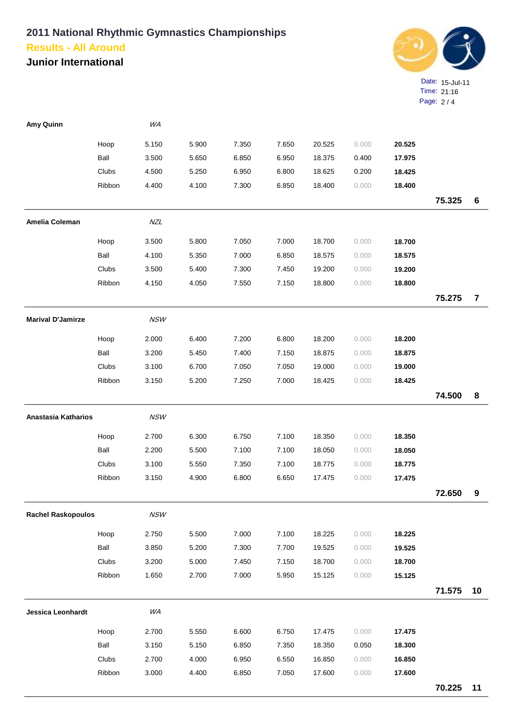**Junior International**



| Amy Quinn                 |        | WA         |       |       |       |        |       |        |        |                |
|---------------------------|--------|------------|-------|-------|-------|--------|-------|--------|--------|----------------|
|                           | Hoop   | 5.150      | 5.900 | 7.350 | 7.650 | 20.525 | 0.000 | 20.525 |        |                |
|                           | Ball   | 3.500      | 5.650 | 6.850 | 6.950 | 18.375 | 0.400 | 17.975 |        |                |
|                           | Clubs  | 4.500      | 5.250 | 6.950 | 6.800 | 18.625 | 0.200 | 18.425 |        |                |
|                           | Ribbon | 4.400      | 4.100 | 7.300 | 6.850 | 18.400 | 0.000 | 18.400 |        |                |
|                           |        |            |       |       |       |        |       |        | 75.325 | 6              |
| <b>Amelia Coleman</b>     |        | <b>NZL</b> |       |       |       |        |       |        |        |                |
|                           | Hoop   | 3.500      | 5.800 | 7.050 | 7.000 | 18.700 | 0.000 | 18.700 |        |                |
|                           | Ball   | 4.100      | 5.350 | 7.000 | 6.850 | 18.575 | 0.000 | 18.575 |        |                |
|                           | Clubs  | 3.500      | 5.400 | 7.300 | 7.450 | 19.200 | 0.000 | 19.200 |        |                |
|                           | Ribbon | 4.150      | 4.050 | 7.550 | 7.150 | 18.800 | 0.000 | 18.800 |        |                |
|                           |        |            |       |       |       |        |       |        | 75.275 | $\overline{7}$ |
| <b>Marival D'Jamirze</b>  |        | <b>NSW</b> |       |       |       |        |       |        |        |                |
|                           | Hoop   | 2.000      | 6.400 | 7.200 | 6.800 | 18.200 | 0.000 | 18.200 |        |                |
|                           | Ball   | 3.200      | 5.450 | 7.400 | 7.150 | 18.875 | 0.000 | 18.875 |        |                |
|                           | Clubs  | 3.100      | 6.700 | 7.050 | 7.050 | 19.000 | 0.000 | 19.000 |        |                |
|                           | Ribbon | 3.150      | 5.200 | 7.250 | 7.000 | 18.425 | 0.000 | 18.425 |        |                |
|                           |        |            |       |       |       |        |       |        | 74.500 | 8              |
| Anastasia Katharios       |        | <b>NSW</b> |       |       |       |        |       |        |        |                |
|                           | Hoop   | 2.700      | 6.300 | 6.750 | 7.100 | 18.350 | 0.000 | 18.350 |        |                |
|                           | Ball   | 2.200      | 5.500 | 7.100 | 7.100 | 18.050 | 0.000 | 18.050 |        |                |
|                           | Clubs  | 3.100      | 5.550 | 7.350 | 7.100 | 18.775 | 0.000 | 18.775 |        |                |
|                           | Ribbon | 3.150      | 4.900 | 6.800 | 6.650 | 17.475 | 0.000 | 17.475 |        |                |
|                           |        |            |       |       |       |        |       |        | 72.650 | 9              |
| <b>Rachel Raskopoulos</b> |        | <b>NSW</b> |       |       |       |        |       |        |        |                |
|                           | Hoop   | 2.750      | 5.500 | 7.000 | 7.100 | 18.225 | 0.000 | 18.225 |        |                |
|                           | Ball   | 3.850      | 5.200 | 7.300 | 7.700 | 19.525 | 0.000 | 19.525 |        |                |
|                           | Clubs  | 3.200      | 5.000 | 7.450 | 7.150 | 18.700 | 0.000 | 18.700 |        |                |
|                           | Ribbon | 1.650      | 2.700 | 7.000 | 5.950 | 15.125 | 0.000 | 15.125 |        |                |
|                           |        |            |       |       |       |        |       |        | 71.575 | 10             |
| <b>Jessica Leonhardt</b>  |        | WA         |       |       |       |        |       |        |        |                |
|                           | Hoop   | 2.700      | 5.550 | 6.600 | 6.750 | 17.475 | 0.000 | 17.475 |        |                |
|                           | Ball   | 3.150      | 5.150 | 6.850 | 7.350 | 18.350 | 0.050 | 18.300 |        |                |
|                           | Clubs  | 2.700      | 4.000 | 6.950 | 6.550 | 16.850 | 0.000 | 16.850 |        |                |
|                           | Ribbon | 3.000      | 4.400 | 6.850 | 7.050 | 17.600 | 0.000 | 17.600 |        |                |
|                           |        |            |       |       |       |        |       |        | 70.225 | 11             |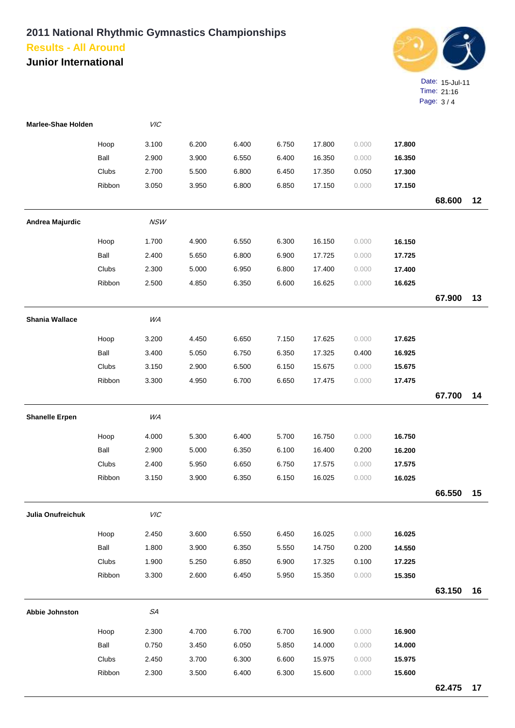**Junior International**



| Marlee-Shae Holden    |        | VIC         |       |       |       |        |       |        |        |    |
|-----------------------|--------|-------------|-------|-------|-------|--------|-------|--------|--------|----|
|                       | Hoop   | 3.100       | 6.200 | 6.400 | 6.750 | 17.800 | 0.000 | 17.800 |        |    |
|                       | Ball   | 2.900       | 3.900 | 6.550 | 6.400 | 16.350 | 0.000 | 16.350 |        |    |
|                       | Clubs  | 2.700       | 5.500 | 6.800 | 6.450 | 17.350 | 0.050 | 17.300 |        |    |
|                       | Ribbon | 3.050       | 3.950 | 6.800 | 6.850 | 17.150 | 0.000 | 17.150 |        |    |
|                       |        |             |       |       |       |        |       |        | 68.600 | 12 |
| Andrea Majurdic       |        | <b>NSW</b>  |       |       |       |        |       |        |        |    |
|                       | Hoop   | 1.700       | 4.900 | 6.550 | 6.300 | 16.150 | 0.000 | 16.150 |        |    |
|                       | Ball   | 2.400       | 5.650 | 6.800 | 6.900 | 17.725 | 0.000 | 17.725 |        |    |
|                       | Clubs  | 2.300       | 5.000 | 6.950 | 6.800 | 17.400 | 0.000 | 17.400 |        |    |
|                       | Ribbon | 2.500       | 4.850 | 6.350 | 6.600 | 16.625 | 0.000 | 16.625 |        |    |
|                       |        |             |       |       |       |        |       |        | 67.900 | 13 |
| <b>Shania Wallace</b> |        | WA          |       |       |       |        |       |        |        |    |
|                       | Hoop   | 3.200       | 4.450 | 6.650 | 7.150 | 17.625 | 0.000 | 17.625 |        |    |
|                       | Ball   | 3.400       | 5.050 | 6.750 | 6.350 | 17.325 | 0.400 | 16.925 |        |    |
|                       | Clubs  | 3.150       | 2.900 | 6.500 | 6.150 | 15.675 | 0.000 | 15.675 |        |    |
|                       | Ribbon | 3.300       | 4.950 | 6.700 | 6.650 | 17.475 | 0.000 | 17.475 |        |    |
|                       |        |             |       |       |       |        |       |        | 67.700 | 14 |
| <b>Shanelle Erpen</b> |        | WA          |       |       |       |        |       |        |        |    |
|                       | Hoop   | 4.000       | 5.300 | 6.400 | 5.700 | 16.750 | 0.000 | 16.750 |        |    |
|                       | Ball   | 2.900       | 5.000 | 6.350 | 6.100 | 16.400 | 0.200 | 16.200 |        |    |
|                       | Clubs  | 2.400       | 5.950 | 6.650 | 6.750 | 17.575 | 0.000 | 17.575 |        |    |
|                       | Ribbon | 3.150       | 3.900 | 6.350 | 6.150 | 16.025 | 0.000 | 16.025 |        |    |
|                       |        |             |       |       |       |        |       |        | 66.550 | 15 |
| Julia Onufreichuk     |        | VIC         |       |       |       |        |       |        |        |    |
|                       | Hoop   | 2.450       | 3.600 | 6.550 | 6.450 | 16.025 | 0.000 | 16.025 |        |    |
|                       | Ball   | 1.800       | 3.900 | 6.350 | 5.550 | 14.750 | 0.200 | 14.550 |        |    |
|                       | Clubs  | 1.900       | 5.250 | 6.850 | 6.900 | 17.325 | 0.100 | 17.225 |        |    |
|                       | Ribbon | 3.300       | 2.600 | 6.450 | 5.950 | 15.350 | 0.000 | 15.350 |        |    |
|                       |        |             |       |       |       |        |       |        | 63.150 | 16 |
| Abbie Johnston        |        | ${\cal SA}$ |       |       |       |        |       |        |        |    |
|                       | Hoop   | 2.300       | 4.700 | 6.700 | 6.700 | 16.900 | 0.000 | 16.900 |        |    |
|                       | Ball   | 0.750       | 3.450 | 6.050 | 5.850 | 14.000 | 0.000 | 14.000 |        |    |
|                       | Clubs  | 2.450       | 3.700 | 6.300 | 6.600 | 15.975 | 0.000 | 15.975 |        |    |
|                       | Ribbon | 2.300       | 3.500 | 6.400 | 6.300 | 15.600 | 0.000 | 15.600 |        |    |
|                       |        |             |       |       |       |        |       |        | 62.475 | 17 |